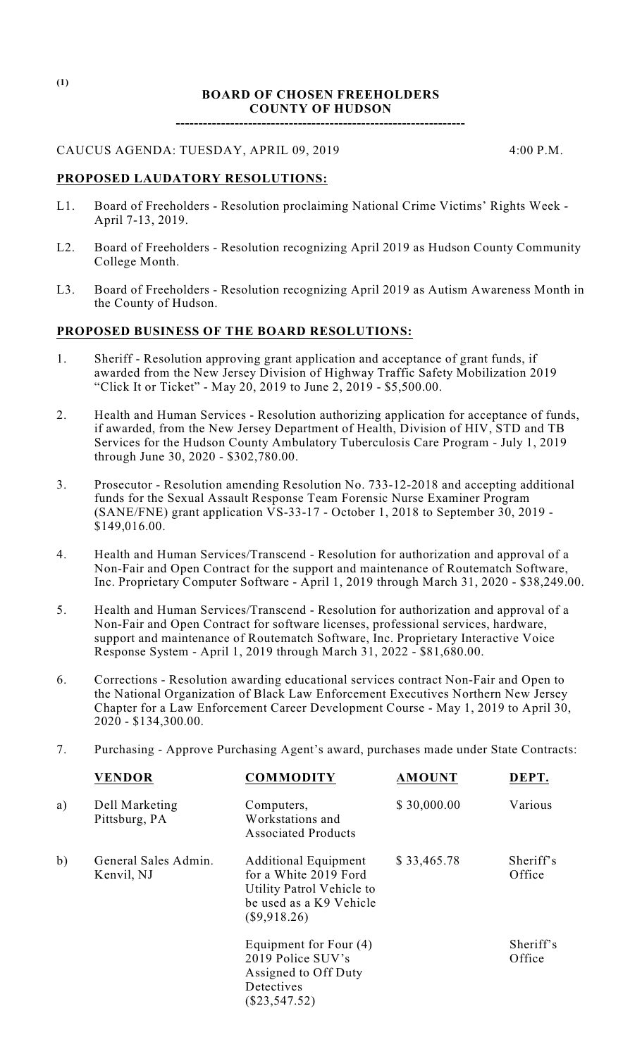### **BOARD OF CHOSEN FREEHOLDERS COUNTY OF HUDSON**

**----------------------------------------------------------------**

# CAUCUS AGENDA: TUESDAY, APRIL 09, 2019 4:00 P.M.

## **PROPOSED LAUDATORY RESOLUTIONS:**

- L1. Board of Freeholders Resolution proclaiming National Crime Victims' Rights Week April 7-13, 2019.
- L2. Board of Freeholders Resolution recognizing April 2019 as Hudson County Community College Month.
- L3. Board of Freeholders Resolution recognizing April 2019 as Autism Awareness Month in the County of Hudson.

### **PROPOSED BUSINESS OF THE BOARD RESOLUTIONS:**

- 1. Sheriff Resolution approving grant application and acceptance of grant funds, if awarded from the New Jersey Division of Highway Traffic Safety Mobilization 2019 "Click It or Ticket" - May 20, 2019 to June 2, 2019 - \$5,500.00.
- 2. Health and Human Services Resolution authorizing application for acceptance of funds, if awarded, from the New Jersey Department of Health, Division of HIV, STD and TB Services for the Hudson County Ambulatory Tuberculosis Care Program - July 1, 2019 through June 30, 2020 - \$302,780.00.
- 3. Prosecutor Resolution amending Resolution No. 733-12-2018 and accepting additional funds for the Sexual Assault Response Team Forensic Nurse Examiner Program (SANE/FNE) grant application VS-33-17 - October 1, 2018 to September 30, 2019 - \$149,016.00.
- 4. Health and Human Services/Transcend Resolution for authorization and approval of a Non-Fair and Open Contract for the support and maintenance of Routematch Software, Inc. Proprietary Computer Software - April 1, 2019 through March 31, 2020 - \$38,249.00.
- 5. Health and Human Services/Transcend Resolution for authorization and approval of a Non-Fair and Open Contract for software licenses, professional services, hardware, support and maintenance of Routematch Software, Inc. Proprietary Interactive Voice Response System - April 1, 2019 through March 31, 2022 - \$81,680.00.
- 6. Corrections Resolution awarding educational services contract Non-Fair and Open to the National Organization of Black Law Enforcement Executives Northern New Jersey Chapter for a Law Enforcement Career Development Course - May 1, 2019 to April 30, 2020 - \$134,300.00.

## 7. Purchasing - Approve Purchasing Agent's award, purchases made under State Contracts:

|    | <b>VENDOR</b>                      | <b>COMMODITY</b>                                                                                                             | <b>AMOUNT</b> | DEPT.               |
|----|------------------------------------|------------------------------------------------------------------------------------------------------------------------------|---------------|---------------------|
| a) | Dell Marketing<br>Pittsburg, PA    | Computers,<br>Workstations and<br><b>Associated Products</b>                                                                 | \$30,000.00   | Various             |
| b) | General Sales Admin.<br>Kenvil, NJ | <b>Additional Equipment</b><br>for a White 2019 Ford<br>Utility Patrol Vehicle to<br>be used as a K9 Vehicle<br>(\$9,918.26) | \$33,465.78   | Sheriff's<br>Office |
|    |                                    | Equipment for Four (4)<br>2019 Police SUV's<br>Assigned to Off Duty<br>Detectives<br>$(\$23,547.52)$                         |               | Sheriff's<br>Office |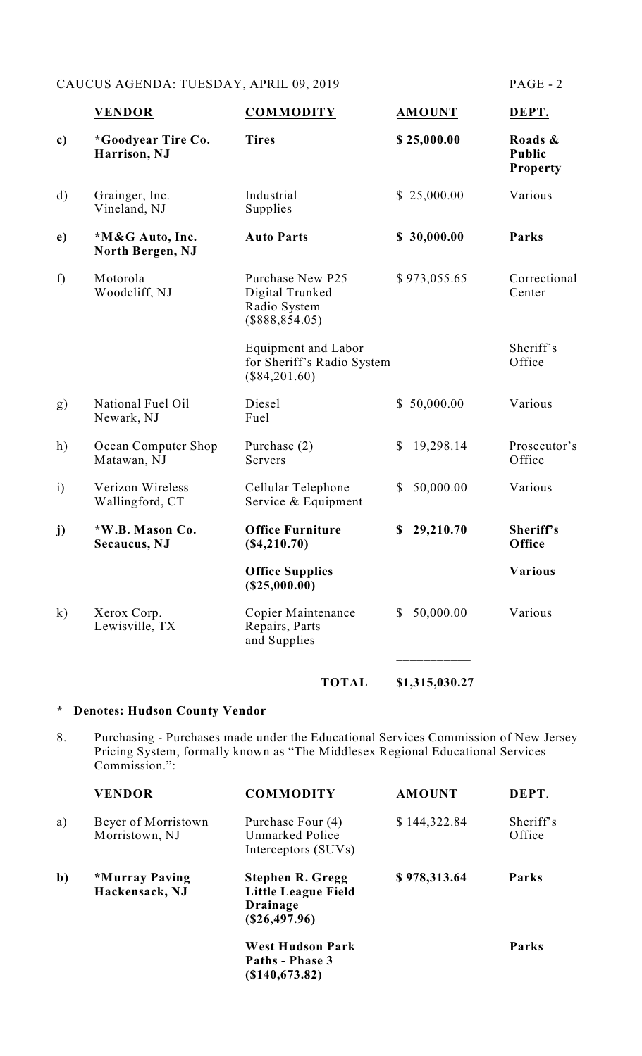# CAUCUS AGENDA: TUESDAY, APRIL 09, 2019 PAGE - 2

|              | <b>VENDOR</b>                       | <b>COMMODITY</b>                                                            | <b>AMOUNT</b>             | DEPT.                                |
|--------------|-------------------------------------|-----------------------------------------------------------------------------|---------------------------|--------------------------------------|
| c)           | *Goodyear Tire Co.<br>Harrison, NJ  | <b>Tires</b>                                                                | \$25,000.00               | Roads &<br><b>Public</b><br>Property |
| $\mathbf{d}$ | Grainger, Inc.<br>Vineland, NJ      | Industrial<br>Supplies                                                      | \$25,000.00               | Various                              |
| e)           | *M&G Auto, Inc.<br>North Bergen, NJ | <b>Auto Parts</b>                                                           | \$30,000.00               | Parks                                |
| f)           | Motorola<br>Woodcliff, NJ           | Purchase New P25<br>Digital Trunked<br>Radio System<br>$(\$888,854.05)$     | \$973,055.65              | Correctional<br>Center               |
|              |                                     | <b>Equipment and Labor</b><br>for Sheriff's Radio System<br>$(\$84,201.60)$ |                           | Sheriff's<br>Office                  |
| g)           | National Fuel Oil<br>Newark, NJ     | Diesel<br>Fuel                                                              | \$50,000.00               | Various                              |
| h)           | Ocean Computer Shop<br>Matawan, NJ  | Purchase (2)<br>Servers                                                     | 19,298.14<br>\$           | Prosecutor's<br>Office               |
| $\mathbf{i}$ | Verizon Wireless<br>Wallingford, CT | Cellular Telephone<br>Service & Equipment                                   | 50,000.00<br>\$           | Various                              |
| j)           | *W.B. Mason Co.<br>Secaucus, NJ     | <b>Office Furniture</b><br>( \$4, 210.70)                                   | 29,210.70<br>\$           | Sheriff's<br>Office                  |
|              |                                     | <b>Office Supplies</b><br>(\$25,000.00)                                     |                           | <b>Various</b>                       |
| $\mathbf{k}$ | Xerox Corp.<br>Lewisville, TX       | Copier Maintenance<br>Repairs, Parts<br>and Supplies                        | 50,000.00<br>$\mathbb{S}$ | Various                              |
|              |                                     | <b>TOTAL</b>                                                                | \$1,315,030.27            |                                      |

# **\* Denotes: Hudson County Vendor**

8. Purchasing - Purchases made under the Educational Services Commission of New Jersey Pricing System, formally known as "The Middlesex Regional Educational Services Commission.":

|              | <b>VENDOR</b>                         | <b>COMMODITY</b>                                                                            | <b>AMOUNT</b> | DEPT.               |
|--------------|---------------------------------------|---------------------------------------------------------------------------------------------|---------------|---------------------|
| a)           | Beyer of Morristown<br>Morristown, NJ | Purchase Four (4)<br>Unmarked Police<br>Interceptors (SUVs)                                 | \$144,322.84  | Sheriff's<br>Office |
| $\mathbf{b}$ | *Murray Paving<br>Hackensack, NJ      | <b>Stephen R. Gregg</b><br><b>Little League Field</b><br><b>Drainage</b><br>$(\$26,497.96)$ | \$978,313.64  | Parks               |
|              |                                       | <b>West Hudson Park</b><br>Paths - Phase 3<br>$(\$140,673.82)$                              |               | Parks               |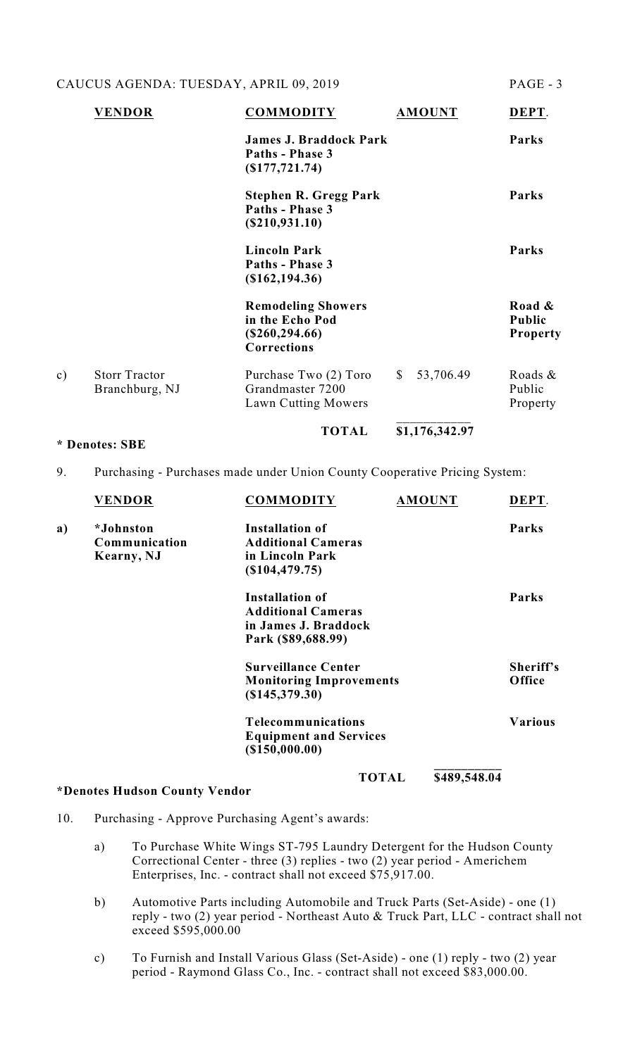# CAUCUS AGENDA: TUESDAY, APRIL 09, 2019

| PAGE |  |
|------|--|
|      |  |

|    | <b>VENDOR</b>                          | <b>COMMODITY</b>                                                                        | <b>AMOUNT</b>             | DEPT.                                      |
|----|----------------------------------------|-----------------------------------------------------------------------------------------|---------------------------|--------------------------------------------|
|    |                                        | <b>James J. Braddock Park</b><br>Paths - Phase 3<br>$($ \$177,721.74 $)$                |                           | Parks                                      |
|    |                                        | <b>Stephen R. Gregg Park</b><br>Paths - Phase 3<br>(S210, 931.10)                       |                           | Parks                                      |
|    |                                        | <b>Lincoln Park</b><br>Paths - Phase 3<br>$(\$162,194.36)$                              |                           | Parks                                      |
|    |                                        | <b>Remodeling Showers</b><br>in the Echo Pod<br>$(\$260, 294.66)$<br><b>Corrections</b> |                           | Road &<br><b>Public</b><br><b>Property</b> |
| c) | <b>Storr Tractor</b><br>Branchburg, NJ | Purchase Two (2) Toro<br>Grandmaster 7200<br>Lawn Cutting Mowers                        | 53,706.49<br><sup>S</sup> | Roads $\&$<br>Public<br>Property           |
|    |                                        | <b>TOTAL</b>                                                                            | \$1,176,342.97            |                                            |

#### **\* Denotes: SBE**

## 9. Purchasing - Purchases made under Union County Cooperative Pricing System:

|    | <b>VENDOR</b> | <b>COMMODITY</b>               |              | <b>AMOUNT</b> | DEPT.          |
|----|---------------|--------------------------------|--------------|---------------|----------------|
| a) | *Johnston     | <b>Installation of</b>         |              |               | Parks          |
|    | Communication | <b>Additional Cameras</b>      |              |               |                |
|    | Kearny, NJ    | in Lincoln Park                |              |               |                |
|    |               | (\$104,479.75)                 |              |               |                |
|    |               | <b>Installation of</b>         |              |               | Parks          |
|    |               | <b>Additional Cameras</b>      |              |               |                |
|    |               | in James J. Braddock           |              |               |                |
|    |               | Park (\$89,688.99)             |              |               |                |
|    |               | <b>Surveillance Center</b>     |              |               | Sheriff's      |
|    |               | <b>Monitoring Improvements</b> |              |               | Office         |
|    |               | (\$145,379.30)                 |              |               |                |
|    |               | <b>Telecommunications</b>      |              |               | <b>Various</b> |
|    |               | <b>Equipment and Services</b>  |              |               |                |
|    |               | $($ \$150,000.00)              |              |               |                |
|    |               |                                | <b>TOTAL</b> | \$489,548.04  |                |

### **\*Denotes Hudson County Vendor**

**TOTAL \$489,548.04**

- 10. Purchasing Approve Purchasing Agent's awards:
	- a) To Purchase White Wings ST-795 Laundry Detergent for the Hudson County Correctional Center - three (3) replies - two (2) year period - Americhem Enterprises, Inc. - contract shall not exceed \$75,917.00.
	- b) Automotive Parts including Automobile and Truck Parts (Set-Aside) one (1) reply - two (2) year period - Northeast Auto & Truck Part, LLC - contract shall not exceed \$595,000.00
	- c) To Furnish and Install Various Glass (Set-Aside) one (1) reply two (2) year period - Raymond Glass Co., Inc. - contract shall not exceed \$83,000.00.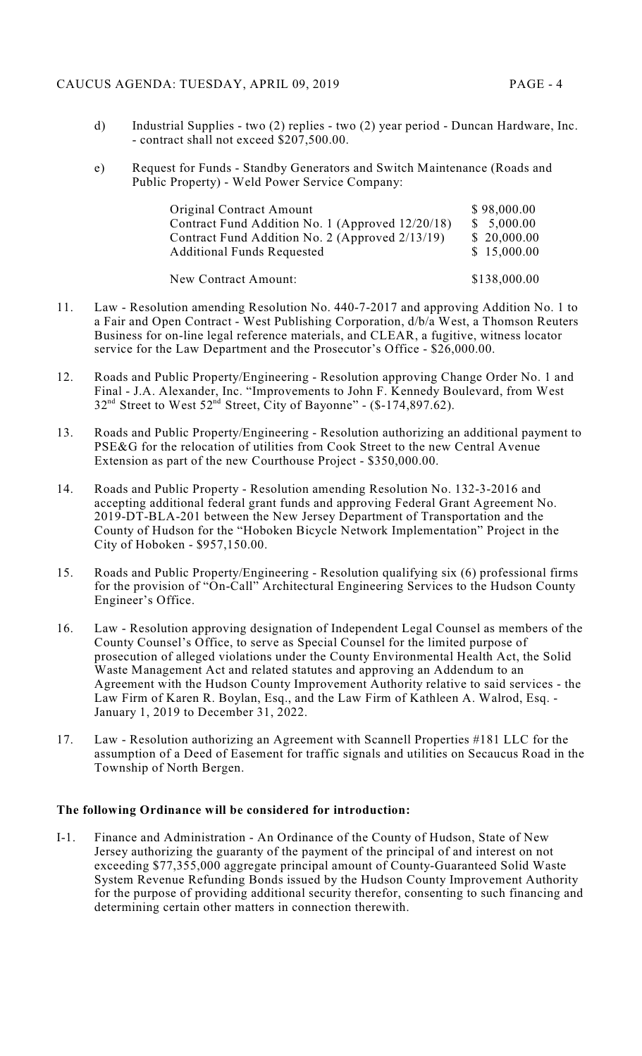## CAUCUS AGENDA: TUESDAY, APRIL 09, 2019 PAGE - 4

- 
- d) Industrial Supplies two (2) replies two (2) year period Duncan Hardware, Inc. - contract shall not exceed \$207,500.00.
- e) Request for Funds Standby Generators and Switch Maintenance (Roads and Public Property) - Weld Power Service Company:

| Original Contract Amount                         | \$98,000.00  |
|--------------------------------------------------|--------------|
| Contract Fund Addition No. 1 (Approved 12/20/18) | \$5,000.00   |
| Contract Fund Addition No. 2 (Approved 2/13/19)  | \$20,000.00  |
| <b>Additional Funds Requested</b>                | \$15,000.00  |
| New Contract Amount:                             | \$138,000.00 |

- 11. Law Resolution amending Resolution No. 440-7-2017 and approving Addition No. 1 to a Fair and Open Contract - West Publishing Corporation, d/b/a West, a Thomson Reuters Business for on-line legal reference materials, and CLEAR, a fugitive, witness locator service for the Law Department and the Prosecutor's Office - \$26,000.00.
- 12. Roads and Public Property/Engineering Resolution approving Change Order No. 1 and Final - J.A. Alexander, Inc. "Improvements to John F. Kennedy Boulevard, from West  $32<sup>nd</sup>$  Street to West  $52<sup>nd</sup>$  Street, City of Bayonne" - (\$-174,897.62).
- 13. Roads and Public Property/Engineering Resolution authorizing an additional payment to PSE&G for the relocation of utilities from Cook Street to the new Central Avenue Extension as part of the new Courthouse Project - \$350,000.00.
- 14. Roads and Public Property Resolution amending Resolution No. 132-3-2016 and accepting additional federal grant funds and approving Federal Grant Agreement No. 2019-DT-BLA-201 between the New Jersey Department of Transportation and the County of Hudson for the "Hoboken Bicycle Network Implementation" Project in the City of Hoboken - \$957,150.00.
- 15. Roads and Public Property/Engineering Resolution qualifying six (6) professional firms for the provision of "On-Call" Architectural Engineering Services to the Hudson County Engineer's Office.
- 16. Law Resolution approving designation of Independent Legal Counsel as members of the County Counsel's Office, to serve as Special Counsel for the limited purpose of prosecution of alleged violations under the County Environmental Health Act, the Solid Waste Management Act and related statutes and approving an Addendum to an Agreement with the Hudson County Improvement Authority relative to said services - the Law Firm of Karen R. Boylan, Esq., and the Law Firm of Kathleen A. Walrod, Esq. - January 1, 2019 to December 31, 2022.
- 17. Law Resolution authorizing an Agreement with Scannell Properties #181 LLC for the assumption of a Deed of Easement for traffic signals and utilities on Secaucus Road in the Township of North Bergen.

## **The following Ordinance will be considered for introduction:**

I-1. Finance and Administration - An Ordinance of the County of Hudson, State of New Jersey authorizing the guaranty of the payment of the principal of and interest on not exceeding \$77,355,000 aggregate principal amount of County-Guaranteed Solid Waste System Revenue Refunding Bonds issued by the Hudson County Improvement Authority for the purpose of providing additional security therefor, consenting to such financing and determining certain other matters in connection therewith.